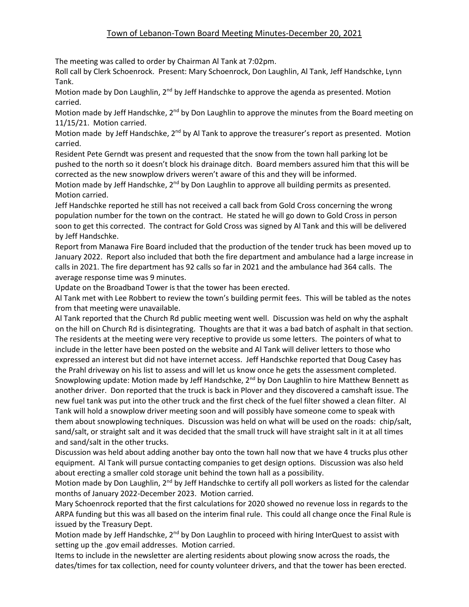## Town of Lebanon-Town Board Meeting Minutes-December 20, 2021

The meeting was called to order by Chairman Al Tank at 7:02pm.

Roll call by Clerk Schoenrock. Present: Mary Schoenrock, Don Laughlin, Al Tank, Jeff Handschke, Lynn Tank.

Motion made by Don Laughlin, 2<sup>nd</sup> by Jeff Handschke to approve the agenda as presented. Motion carried.

Motion made by Jeff Handschke,  $2^{nd}$  by Don Laughlin to approve the minutes from the Board meeting on 11/15/21. Motion carried.

Motion made by Jeff Handschke,  $2^{nd}$  by Al Tank to approve the treasurer's report as presented. Motion carried.

Resident Pete Gerndt was present and requested that the snow from the town hall parking lot be pushed to the north so it doesn't block his drainage ditch. Board members assured him that this will be corrected as the new snowplow drivers weren't aware of this and they will be informed.

Motion made by Jeff Handschke,  $2<sup>nd</sup>$  by Don Laughlin to approve all building permits as presented. Motion carried.

Jeff Handschke reported he still has not received a call back from Gold Cross concerning the wrong population number for the town on the contract. He stated he will go down to Gold Cross in person soon to get this corrected. The contract for Gold Cross was signed by Al Tank and this will be delivered by Jeff Handschke.

Report from Manawa Fire Board included that the production of the tender truck has been moved up to January 2022. Report also included that both the fire department and ambulance had a large increase in calls in 2021. The fire department has 92 calls so far in 2021 and the ambulance had 364 calls. The average response time was 9 minutes.

Update on the Broadband Tower is that the tower has been erected.

Al Tank met with Lee Robbert to review the town's building permit fees. This will be tabled as the notes from that meeting were unavailable.

Al Tank reported that the Church Rd public meeting went well. Discussion was held on why the asphalt on the hill on Church Rd is disintegrating. Thoughts are that it was a bad batch of asphalt in that section. The residents at the meeting were very receptive to provide us some letters. The pointers of what to include in the letter have been posted on the website and Al Tank will deliver letters to those who expressed an interest but did not have internet access. Jeff Handschke reported that Doug Casey has the Prahl driveway on his list to assess and will let us know once he gets the assessment completed. Snowplowing update: Motion made by Jeff Handschke, 2<sup>nd</sup> by Don Laughlin to hire Matthew Bennett as another driver. Don reported that the truck is back in Plover and they discovered a camshaft issue. The new fuel tank was put into the other truck and the first check of the fuel filter showed a clean filter. Al Tank will hold a snowplow driver meeting soon and will possibly have someone come to speak with them about snowplowing techniques. Discussion was held on what will be used on the roads: chip/salt, sand/salt, or straight salt and it was decided that the small truck will have straight salt in it at all times and sand/salt in the other trucks.

Discussion was held about adding another bay onto the town hall now that we have 4 trucks plus other equipment. Al Tank will pursue contacting companies to get design options. Discussion was also held about erecting a smaller cold storage unit behind the town hall as a possibility.

Motion made by Don Laughlin,  $2<sup>nd</sup>$  by Jeff Handschke to certify all poll workers as listed for the calendar months of January 2022-December 2023. Motion carried.

Mary Schoenrock reported that the first calculations for 2020 showed no revenue loss in regards to the ARPA funding but this was all based on the interim final rule. This could all change once the Final Rule is issued by the Treasury Dept.

Motion made by Jeff Handschke, 2<sup>nd</sup> by Don Laughlin to proceed with hiring InterQuest to assist with setting up the .gov email addresses. Motion carried.

Items to include in the newsletter are alerting residents about plowing snow across the roads, the dates/times for tax collection, need for county volunteer drivers, and that the tower has been erected.